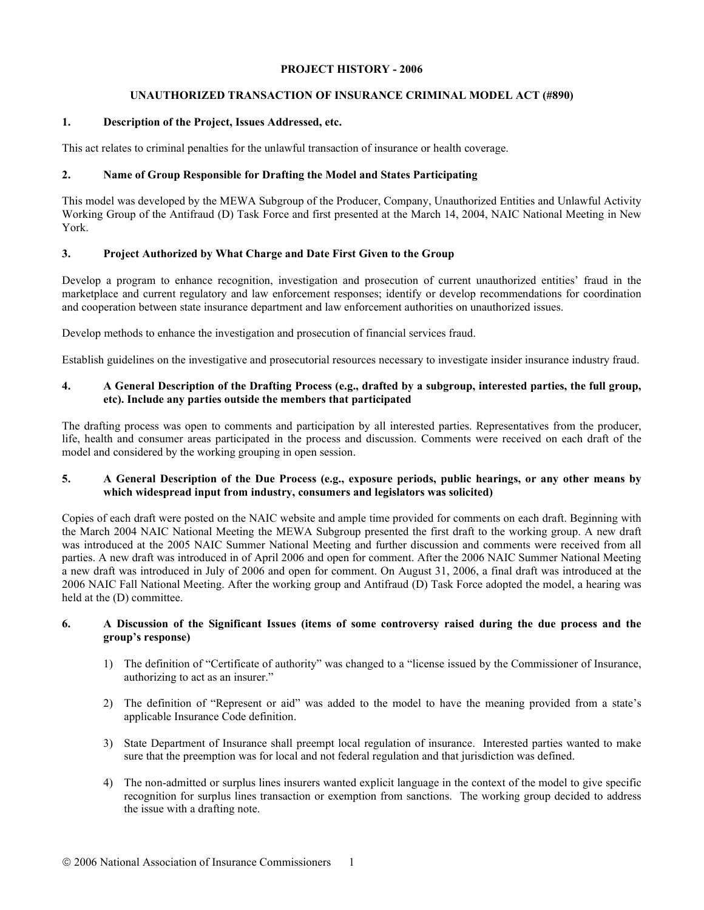#### **PROJECT HISTORY - 2006**

# **UNAUTHORIZED TRANSACTION OF INSURANCE CRIMINAL MODEL ACT (#890)**

# **1. Description of the Project, Issues Addressed, etc.**

This act relates to criminal penalties for the unlawful transaction of insurance or health coverage.

# **2. Name of Group Responsible for Drafting the Model and States Participating**

This model was developed by the MEWA Subgroup of the Producer, Company, Unauthorized Entities and Unlawful Activity Working Group of the Antifraud (D) Task Force and first presented at the March 14, 2004, NAIC National Meeting in New York.

# **3. Project Authorized by What Charge and Date First Given to the Group**

Develop a program to enhance recognition, investigation and prosecution of current unauthorized entities' fraud in the marketplace and current regulatory and law enforcement responses; identify or develop recommendations for coordination and cooperation between state insurance department and law enforcement authorities on unauthorized issues.

Develop methods to enhance the investigation and prosecution of financial services fraud.

Establish guidelines on the investigative and prosecutorial resources necessary to investigate insider insurance industry fraud.

# **4. A General Description of the Drafting Process (e.g., drafted by a subgroup, interested parties, the full group, etc). Include any parties outside the members that participated**

The drafting process was open to comments and participation by all interested parties. Representatives from the producer, life, health and consumer areas participated in the process and discussion. Comments were received on each draft of the model and considered by the working grouping in open session.

#### **5. A General Description of the Due Process (e.g., exposure periods, public hearings, or any other means by which widespread input from industry, consumers and legislators was solicited)**

Copies of each draft were posted on the NAIC website and ample time provided for comments on each draft. Beginning with the March 2004 NAIC National Meeting the MEWA Subgroup presented the first draft to the working group. A new draft was introduced at the 2005 NAIC Summer National Meeting and further discussion and comments were received from all parties. A new draft was introduced in of April 2006 and open for comment. After the 2006 NAIC Summer National Meeting a new draft was introduced in July of 2006 and open for comment. On August 31, 2006, a final draft was introduced at the 2006 NAIC Fall National Meeting. After the working group and Antifraud (D) Task Force adopted the model, a hearing was held at the (D) committee.

# **6. A Discussion of the Significant Issues (items of some controversy raised during the due process and the group's response)**

- 1) The definition of "Certificate of authority" was changed to a "license issued by the Commissioner of Insurance, authorizing to act as an insurer."
- 2) The definition of "Represent or aid" was added to the model to have the meaning provided from a state's applicable Insurance Code definition.
- 3) State Department of Insurance shall preempt local regulation of insurance. Interested parties wanted to make sure that the preemption was for local and not federal regulation and that jurisdiction was defined.
- 4) The non-admitted or surplus lines insurers wanted explicit language in the context of the model to give specific recognition for surplus lines transaction or exemption from sanctions. The working group decided to address the issue with a drafting note.